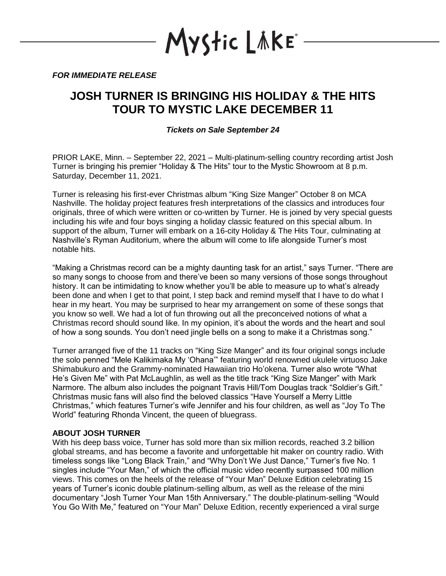

*FOR IMMEDIATE RELEASE*

# **JOSH TURNER IS BRINGING HIS HOLIDAY & THE HITS TOUR TO MYSTIC LAKE DECEMBER 11**

*Tickets on Sale September 24*

PRIOR LAKE, Minn. – September 22, 2021 – Multi-platinum-selling country recording artist Josh Turner is bringing his premier "Holiday & The Hits" tour to the Mystic Showroom at 8 p.m. Saturday, December 11, 2021.

Turner is releasing his first-ever Christmas album "King Size Manger" October 8 on MCA Nashville. The holiday project features fresh interpretations of the classics and introduces four originals, three of which were written or co-written by Turner. He is joined by very special guests including his wife and four boys singing a holiday classic featured on this special album. In support of the album, Turner will embark on a 16-city Holiday & The Hits Tour, culminating at Nashville's Ryman Auditorium, where the album will come to life alongside Turner's most notable hits.

"Making a Christmas record can be a mighty daunting task for an artist," says Turner. "There are so many songs to choose from and there've been so many versions of those songs throughout history. It can be intimidating to know whether you'll be able to measure up to what's already been done and when I get to that point, I step back and remind myself that I have to do what I hear in my heart. You may be surprised to hear my arrangement on some of these songs that you know so well. We had a lot of fun throwing out all the preconceived notions of what a Christmas record should sound like. In my opinion, it's about the words and the heart and soul of how a song sounds. You don't need jingle bells on a song to make it a Christmas song."

Turner arranged five of the 11 tracks on "King Size Manger" and its four original songs include the solo penned "Mele Kalikimaka My 'Ohana'" featuring world renowned ukulele virtuoso Jake Shimabukuro and the Grammy-nominated Hawaiian trio Ho'okena. Turner also wrote "What He's Given Me" with Pat McLaughlin, as well as the title track "King Size Manger" with Mark Narmore. The album also includes the poignant Travis Hill/Tom Douglas track "Soldier's Gift." Christmas music fans will also find the beloved classics "Have Yourself a Merry Little Christmas," which features Turner's wife Jennifer and his four children, as well as "Joy To The World" featuring Rhonda Vincent, the queen of bluegrass.

# **ABOUT JOSH TURNER**

With his deep bass voice, Turner has sold more than six million records, reached 3.2 billion global streams, and has become a favorite and unforgettable hit maker on country radio. With timeless songs like "Long Black Train," and "Why Don't We Just Dance," Turner's five No. 1 singles include "Your Man," of which the official music video recently surpassed 100 million views. This comes on the heels of the release of "Your Man" Deluxe Edition celebrating 15 years of Turner's iconic double platinum-selling album, as well as the release of the mini documentary "Josh Turner Your Man 15th Anniversary." The double-platinum-selling "Would You Go With Me," featured on "Your Man" Deluxe Edition, recently experienced a viral surge